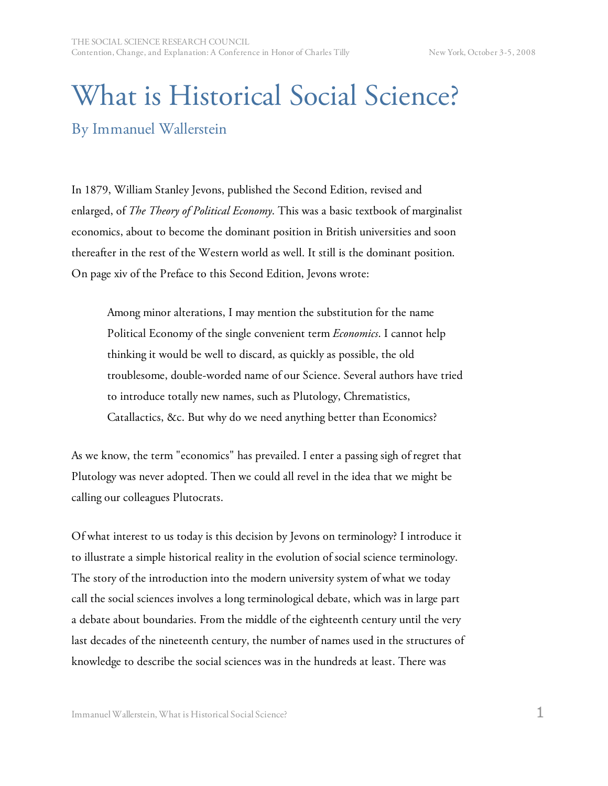## What is Historical Social Science? By Immanuel Wallerstein

In 1879, William Stanley Jevons, published the Second Edition, revised and enlarged, of *The Theory of Political Economy*. This was a basic textbook of marginalist economics, about to become the dominant position in British universities and soon thereafter in the rest of the Western world as well. It still is the dominant position. On page xiv of the Preface to this Second Edition, Jevons wrote:

Among minor alterations, I may mention the substitution for the name Political Economy of the single convenient term *Economics*. I cannot help thinking it would be well to discard, as quickly as possible, the old troublesome, double-worded name of our Science. Several authors have tried to introduce totally new names, such as Plutology, Chrematistics, Catallactics, &c. But why do we need anything better than Economics?

As we know, the term "economics" has prevailed. I enter a passing sigh of regret that Plutology was never adopted. Then we could all revel in the idea that we might be calling our colleagues Plutocrats.

Of what interest to us today is this decision by Jevons on terminology? I introduce it to illustrate a simple historical reality in the evolution of social science terminology. The story of the introduction into the modern university system of what we today call the social sciences involves a long terminological debate, which was in large part a debate about boundaries. From the middle of the eighteenth century until the very last decades of the nineteenth century, the number of names used in the structures of knowledge to describe the social sciences was in the hundreds at least. There was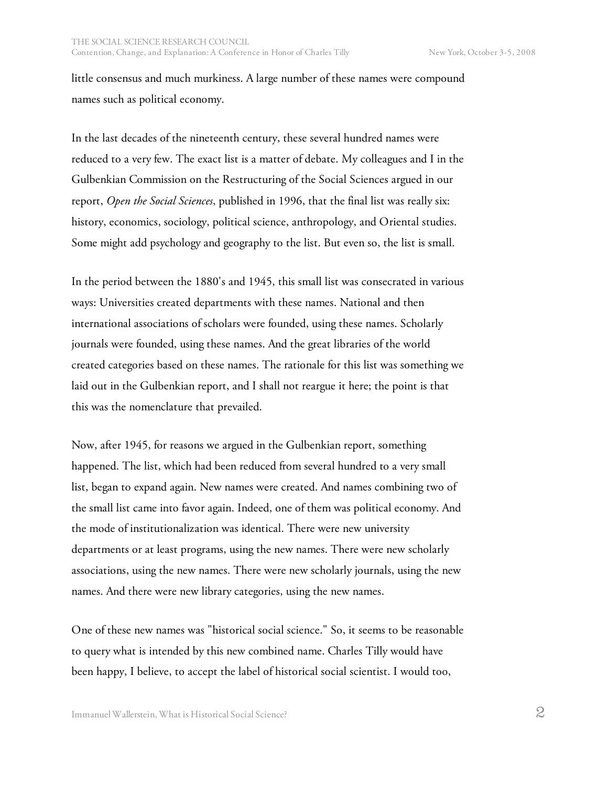little consensus and much murkiness. A large number of these names were compound names such as political economy.

In the last decades of the nineteenth century, these several hundred names were reduced to a very few. The exact list is a matter of debate. My colleagues and I in the Gulbenkian Commission on the Restructuring of the Social Sciences argued in our report, *Open the Social Sciences*, published in 1996, that the final list was really six: history, economics, sociology, political science, anthropology, and Oriental studies. Some might add psychology and geography to the list. But even so, the list is small.

In the period between the 1880's and 1945, this small list was consecrated in various ways: Universities created departments with these names. National and then international associations of scholars were founded, using these names. Scholarly journals were founded, using these names. And the great libraries of the world created categories based on these names. The rationale for this list was something we laid out in the Gulbenkian report, and I shall not reargue it here; the point is that this was the nomenclature that prevailed.

Now, after 1945, for reasons we argued in the Gulbenkian report, something happened. The list, which had been reduced from several hundred to a very small list, began to expand again. New names were created. And names combining two of the small list came into favor again. Indeed, one of them was political economy. And the mode of institutionalization was identical. There were new university departments or at least programs, using the new names. There were new scholarly associations, using the new names. There were new scholarly journals, using the new names. And there were new library categories, using the new names.

One of these new names was "historical social science." So, it seems to be reasonable to query what is intended by this new combined name. Charles Tilly would have been happy, I believe, to accept the label of historical social scientist. I would too,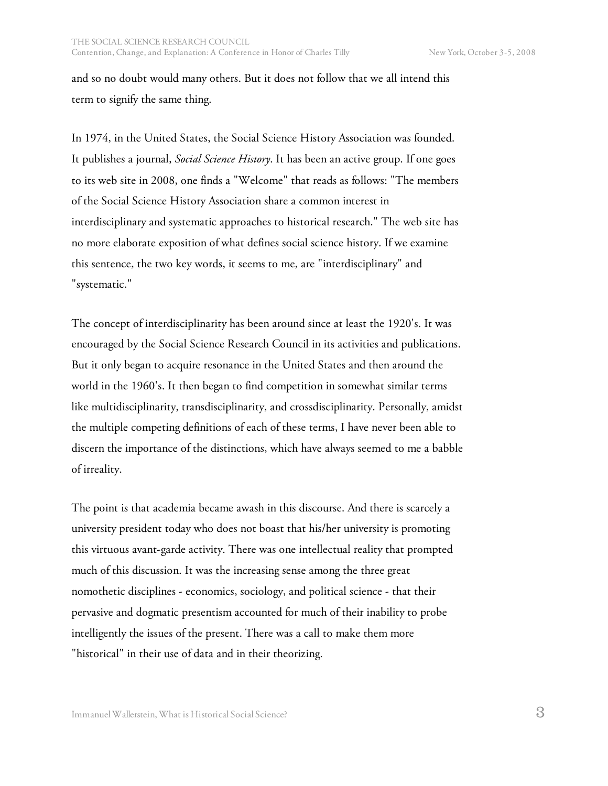and so no doubt would many others. But it does not follow that we all intend this term to signify the same thing.

In 1974, in the United States, the Social Science History Association was founded. It publishes a journal, *Social Science History*. It has been an active group. If one goes to its web site in 2008, one finds a "Welcome" that reads as follows: "The members of the Social Science History Association share a common interest in interdisciplinary and systematic approaches to historical research." The web site has no more elaborate exposition of what defines social science history. If we examine this sentence, the two key words, it seems to me, are "interdisciplinary" and "systematic."

The concept of interdisciplinarity has been around since at least the 1920's. It was encouraged by the Social Science Research Council in its activities and publications. But it only began to acquire resonance in the United States and then around the world in the 1960's. It then began to find competition in somewhat similar terms like multidisciplinarity, transdisciplinarity, and crossdisciplinarity. Personally, amidst the multiple competing definitions of each of these terms, I have never been able to discern the importance of the distinctions, which have always seemed to me a babble of irreality.

The point is that academia became awash in this discourse. And there is scarcely a university president today who does not boast that his/her university is promoting this virtuous avant-garde activity. There was one intellectual reality that prompted much of this discussion. It was the increasing sense among the three great nomothetic disciplines - economics, sociology, and political science - that their pervasive and dogmatic presentism accounted for much of their inability to probe intelligently the issues of the present. There was a call to make them more "historical" in their use of data and in their theorizing.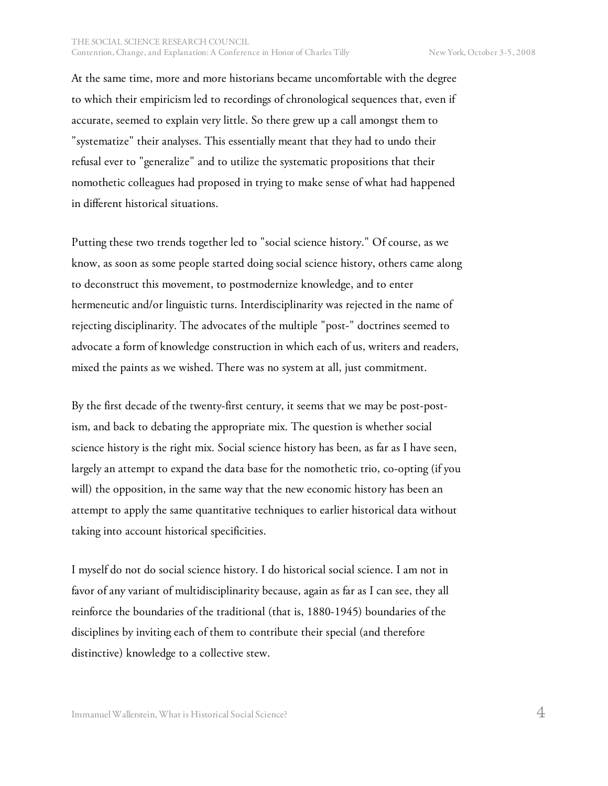At the same time, more and more historians became uncomfortable with the degree to which their empiricism led to recordings of chronological sequences that, even if accurate, seemed to explain very little. So there grew up a call amongst them to "systematize" their analyses. This essentially meant that they had to undo their refusal ever to "generalize" and to utilize the systematic propositions that their nomothetic colleagues had proposed in trying to make sense of what had happened in different historical situations.

Putting these two trends together led to "social science history." Of course, as we know, as soon as some people started doing social science history, others came along to deconstruct this movement, to postmodernize knowledge, and to enter hermeneutic and/or linguistic turns. Interdisciplinarity was rejected in the name of rejecting disciplinarity. The advocates of the multiple "post-" doctrines seemed to advocate a form of knowledge construction in which each of us, writers and readers, mixed the paints as we wished. There was no system at all, just commitment.

By the first decade of the twenty-first century, it seems that we may be post-postism, and back to debating the appropriate mix. The question is whether social science history is the right mix. Social science history has been, as far as I have seen, largely an attempt to expand the data base for the nomothetic trio, co-opting (if you will) the opposition, in the same way that the new economic history has been an attempt to apply the same quantitative techniques to earlier historical data without taking into account historical specificities.

I myself do not do social science history. I do historical social science. I am not in favor of any variant of multidisciplinarity because, again as far as I can see, they all reinforce the boundaries of the traditional (that is, 1880-1945) boundaries of the disciplines by inviting each of them to contribute their special (and therefore distinctive) knowledge to a collective stew.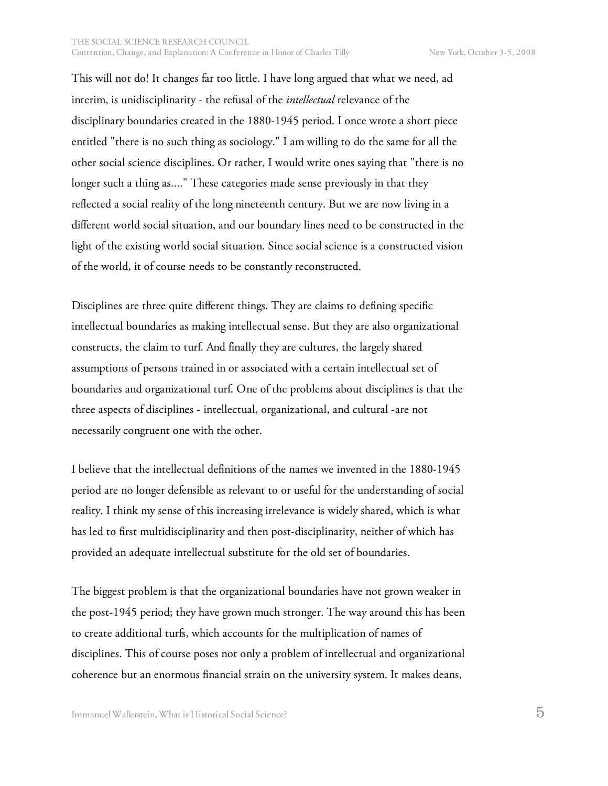This will not do! It changes far too little. I have long argued that what we need, ad interim, is unidisciplinarity - the refusal of the *intellectual* relevance of the disciplinary boundaries created in the 1880-1945 period. I once wrote a short piece entitled "there is no such thing as sociology." I am willing to do the same for all the other social science disciplines. Or rather, I would write ones saying that "there is no longer such a thing as...." These categories made sense previously in that they reflected a social reality of the long nineteenth century. But we are now living in a different world social situation, and our boundary lines need to be constructed in the light of the existing world social situation. Since social science is a constructed vision of the world, it of course needs to be constantly reconstructed.

Disciplines are three quite different things. They are claims to defining specific intellectual boundaries as making intellectual sense. But they are also organizational constructs, the claim to turf. And finally they are cultures, the largely shared assumptions of persons trained in or associated with a certain intellectual set of boundaries and organizational turf. One of the problems about disciplines is that the three aspects of disciplines - intellectual, organizational, and cultural -are not necessarily congruent one with the other.

I believe that the intellectual definitions of the names we invented in the 1880-1945 period are no longer defensible as relevant to or useful for the understanding of social reality. I think my sense of this increasing irrelevance is widely shared, which is what has led to first multidisciplinarity and then post-disciplinarity, neither of which has provided an adequate intellectual substitute for the old set of boundaries.

The biggest problem is that the organizational boundaries have not grown weaker in the post-1945 period; they have grown much stronger. The way around this has been to create additional turfs, which accounts for the multiplication of names of disciplines. This of course poses not only a problem of intellectual and organizational coherence but an enormous financial strain on the university system. It makes deans,